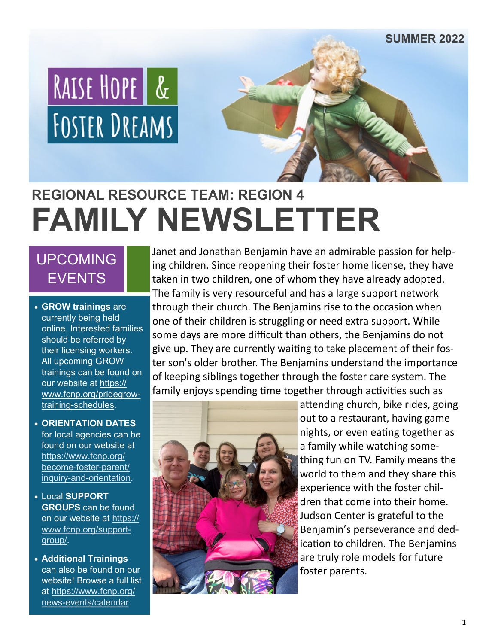# **REGIONAL RESOURCE TEAM: REGION 4 FAMILY NEWSLETTER**

## **UPCOMING** EVENTS

RAISE HOPE &

FOSTER DREAMS

- **GROW trainings** are currently being held online. Interested families should be referred by their licensing workers. All upcoming GROW trainings can be found on our website at [https://](https://www.fcnp.org/pridegrow-training-schedules) [www.fcnp.org/pridegrow](https://www.fcnp.org/pridegrow-training-schedules)training-[schedules.](https://www.fcnp.org/pridegrow-training-schedules)
- **ORIENTATION DATES**  for local agencies can be found on our website at https://www.fcnp.org/ become-foster-parent/ inquiry-and-orientation.
- Local **SUPPORT GROUPS** can be found on our website at [https://](https://www.fcnp.org/support-group/) [www.fcnp.org/support](https://www.fcnp.org/support-group/)[group/.](https://www.fcnp.org/support-group/)
- **Additional Trainings**  can also be found on our website! Browse a full list at [https://www.fcnp.org/](https://www.fcnp.org/news-events/calendar) news-[events/calendar.](https://www.fcnp.org/news-events/calendar)

Janet and Jonathan Benjamin have an admirable passion for helping children. Since reopening their foster home license, they have taken in two children, one of whom they have already adopted. The family is very resourceful and has a large support network through their church. The Benjamins rise to the occasion when one of their children is struggling or need extra support. While some days are more difficult than others, the Benjamins do not give up. They are currently waiting to take placement of their foster son's older brother. The Benjamins understand the importance of keeping siblings together through the foster care system. The family enjoys spending time together through activities such as



attending church, bike rides, going out to a restaurant, having game nights, or even eating together as a family while watching something fun on TV. Family means the world to them and they share this experience with the foster children that come into their home. Judson Center is grateful to the Benjamin's perseverance and dedication to children. The Benjamins are truly role models for future foster parents.

**SUMMER 2022**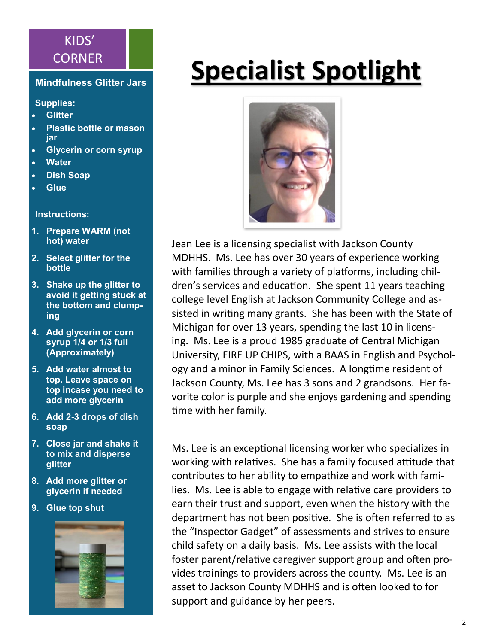### KIDS' CORNER

### **Mindfulness Glitter Jars**

#### **Supplies:**

- **Glitter**
- **Plastic bottle or mason jar**
- **Glycerin or corn syrup**
- **Water**
- **Dish Soap**
- **Glue**

#### **Instructions:**

- **1. Prepare WARM (not hot) water**
- **2. Select glitter for the bottle**
- **3. Shake up the glitter to avoid it getting stuck at the bottom and clumping**
- **4. Add glycerin or corn syrup 1/4 or 1/3 full (Approximately)**
- **5. Add water almost to top. Leave space on top incase you need to add more glycerin**
- **6. Add 2-3 drops of dish soap**
- **7. Close jar and shake it to mix and disperse glitter**
- **8. Add more glitter or glycerin if needed**
- **9. Glue top shut**



# **Specialist Spotlight**



Jean Lee is a licensing specialist with Jackson County MDHHS. Ms. Lee has over 30 years of experience working with families through a variety of platforms, including children's services and education. She spent 11 years teaching college level English at Jackson Community College and assisted in writing many grants. She has been with the State of Michigan for over 13 years, spending the last 10 in licensing. Ms. Lee is a proud 1985 graduate of Central Michigan University, FIRE UP CHIPS, with a BAAS in English and Psychology and a minor in Family Sciences. A longtime resident of Jackson County, Ms. Lee has 3 sons and 2 grandsons. Her favorite color is purple and she enjoys gardening and spending time with her family.

Ms. Lee is an exceptional licensing worker who specializes in working with relatives. She has a family focused attitude that contributes to her ability to empathize and work with families. Ms. Lee is able to engage with relative care providers to earn their trust and support, even when the history with the department has not been positive. She is often referred to as the "Inspector Gadget" of assessments and strives to ensure child safety on a daily basis. Ms. Lee assists with the local foster parent/relative caregiver support group and often provides trainings to providers across the county. Ms. Lee is an asset to Jackson County MDHHS and is often looked to for support and guidance by her peers.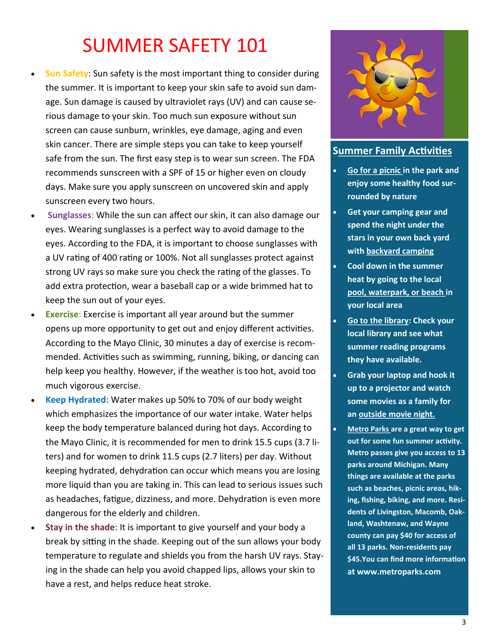## SUMMER SAFETY 101

- **Sun Safety**: Sun safety is the most important thing to consider during the summer. It is important to keep your skin safe to avoid sun damage. Sun damage is caused by ultraviolet rays (UV) and can cause serious damage to your skin. Too much sun exposure without sun screen can cause sunburn, wrinkles, eye damage, aging and even skin cancer. There are simple steps you can take to keep yourself safe from the sun. The first easy step is to wear sun screen. The FDA recommends sunscreen with a SPF of 15 or higher even on cloudy days. Make sure you apply sunscreen on uncovered skin and apply sunscreen every two hours.
- **Sunglasses**: While the sun can affect our skin, it can also damage our eyes. Wearing sunglasses is a perfect way to avoid damage to the eyes. According to the FDA, it is important to choose sunglasses with a UV rating of 400 rating or 100%. Not all sunglasses protect against strong UV rays so make sure you check the rating of the glasses. To add extra protection, wear a baseball cap or a wide brimmed hat to keep the sun out of your eyes.
- **Exercise:** Exercise is important all year around but the summer opens up more opportunity to get out and enjoy different activities. According to the Mayo Clinic, 30 minutes a day of exercise is recommended. Activities such as swimming, running, biking, or dancing can help keep you healthy. However, if the weather is too hot, avoid too much vigorous exercise.
- **Keep Hydrated**: Water makes up 50% to 70% of our body weight which emphasizes the importance of our water intake. Water helps keep the body temperature balanced during hot days. According to the Mayo Clinic, it is recommended for men to drink 15.5 cups (3.7 liters) and for women to drink 11.5 cups (2.7 liters) per day. Without keeping hydrated, dehydration can occur which means you are losing more liquid than you are taking in. This can lead to serious issues such as headaches, fatigue, dizziness, and more. Dehydration is even more dangerous for the elderly and children.
- **Stay in the shade**: It is important to give yourself and your body a break by sitting in the shade. Keeping out of the sun allows your body temperature to regulate and shields you from the harsh UV rays. Staying in the shade can help you avoid chapped lips, allows your skin to have a rest, and helps reduce heat stroke.



### **Summer Family Activities**

- **Go for a picnic in the park and enjoy some healthy food surrounded by nature**
- **Get your camping gear and spend the night under the stars in your own back yard with backyard camping**
- **Cool down in the summer heat by going to the local pool, waterpark, or beach in your local area**
- **Go to the library: Check your local library and see what summer reading programs they have available.**
- **Grab your laptop and hook it up to a projector and watch some movies as a family for an outside movie night.**
- **Metro Parks are a great way to get out for some fun summer activity. Metro passes give you access to 13 parks around Michigan. Many things are available at the parks such as beaches, picnic areas, hiking, fishing, biking, and more. Residents of Livingston, Macomb, Oakland, Washtenaw, and Wayne county can pay \$40 for access of all 13 parks. Non-residents pay \$45.You can find more information at www.metroparks.com**